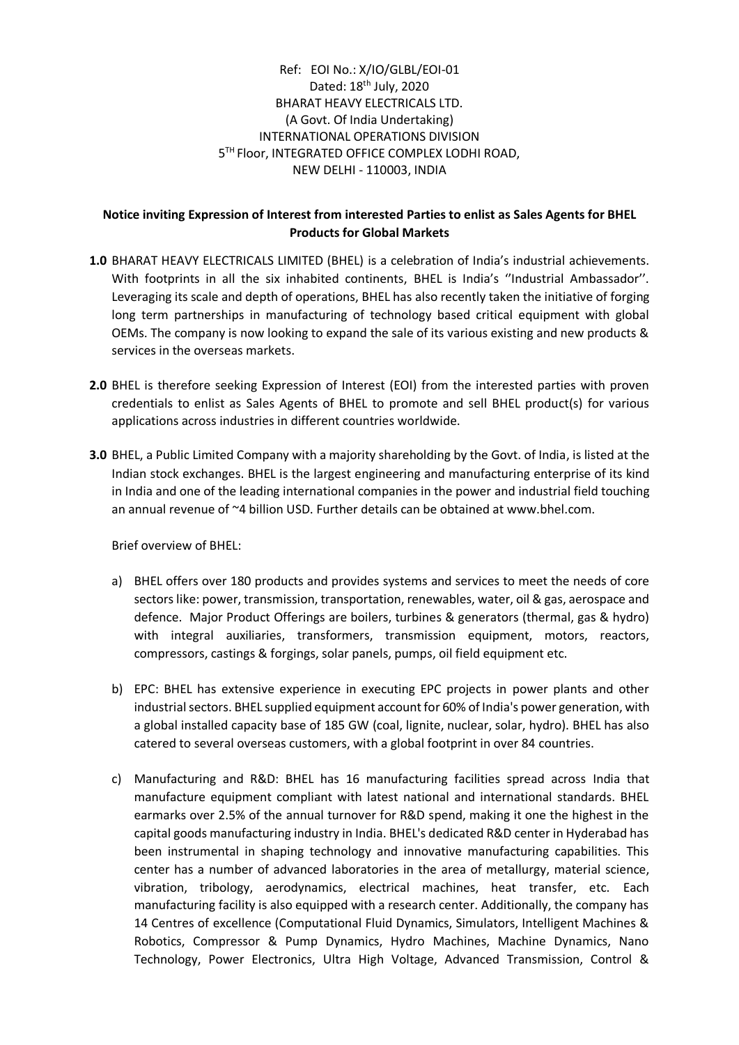### Ref: EOI No.: X/IO/GLBL/EOI-01 Dated: 18th July, 2020 BHARAT HEAVY ELECTRICALS LTD. (A Govt. Of India Undertaking) INTERNATIONAL OPERATIONS DIVISION 5 TH Floor, INTEGRATED OFFICE COMPLEX LODHI ROAD, NEW DELHI - 110003, INDIA

#### **Notice inviting Expression of Interest from interested Parties to enlist as Sales Agents for BHEL Products for Global Markets**

- **1.0** BHARAT HEAVY ELECTRICALS LIMITED (BHEL) is a celebration of India's industrial achievements. With footprints in all the six inhabited continents, BHEL is India's ''Industrial Ambassador''. Leveraging its scale and depth of operations, BHEL has also recently taken the initiative of forging long term partnerships in manufacturing of technology based critical equipment with global OEMs. The company is now looking to expand the sale of its various existing and new products & services in the overseas markets.
- **2.0** BHEL is therefore seeking Expression of Interest (EOI) from the interested parties with proven credentials to enlist as Sales Agents of BHEL to promote and sell BHEL product(s) for various applications across industries in different countries worldwide.
- **3.0** BHEL, a Public Limited Company with a majority shareholding by the Govt. of India, is listed at the Indian stock exchanges. BHEL is the largest engineering and manufacturing enterprise of its kind in India and one of the leading international companies in the power and industrial field touching an annual revenue of ~4 billion USD. Further details can be obtained at www.bhel.com.

Brief overview of BHEL:

- a) BHEL offers over 180 products and provides systems and services to meet the needs of core sectors like: power, transmission, transportation, renewables, water, oil & gas, aerospace and defence. Major Product Offerings are boilers, turbines & generators (thermal, gas & hydro) with integral auxiliaries, transformers, transmission equipment, motors, reactors, compressors, castings & forgings, solar panels, pumps, oil field equipment etc.
- b) EPC: BHEL has extensive experience in executing EPC projects in power plants and other industrial sectors. BHEL supplied equipment account for 60% of India's power generation, with a global installed capacity base of 185 GW (coal, lignite, nuclear, solar, hydro). BHEL has also catered to several overseas customers, with a global footprint in over 84 countries.
- c) Manufacturing and R&D: BHEL has 16 manufacturing facilities spread across India that manufacture equipment compliant with latest national and international standards. BHEL earmarks over 2.5% of the annual turnover for R&D spend, making it one the highest in the capital goods manufacturing industry in India. BHEL's dedicated R&D center in Hyderabad has been instrumental in shaping technology and innovative manufacturing capabilities. This center has a number of advanced laboratories in the area of metallurgy, material science, vibration, tribology, aerodynamics, electrical machines, heat transfer, etc. Each manufacturing facility is also equipped with a research center. Additionally, the company has 14 Centres of excellence (Computational Fluid Dynamics, Simulators, Intelligent Machines & Robotics, Compressor & Pump Dynamics, Hydro Machines, Machine Dynamics, Nano Technology, Power Electronics, Ultra High Voltage, Advanced Transmission, Control &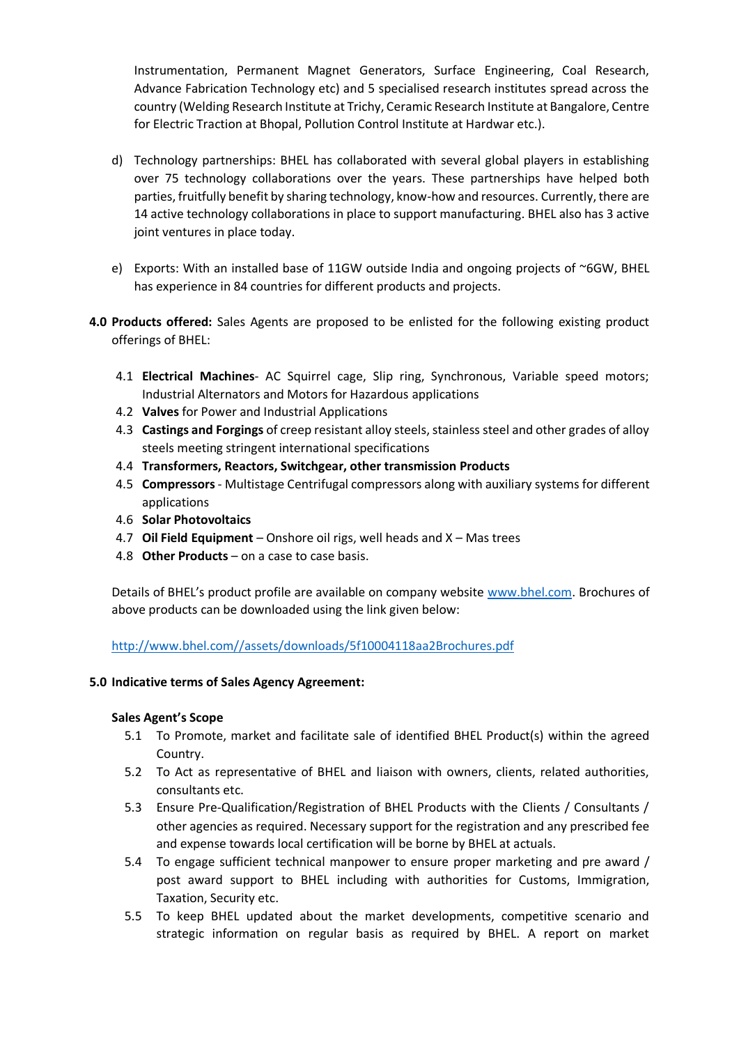Instrumentation, Permanent Magnet Generators, Surface Engineering, Coal Research, Advance Fabrication Technology etc) and 5 specialised research institutes spread across the country (Welding Research Institute at Trichy, Ceramic Research Institute at Bangalore, Centre for Electric Traction at Bhopal, Pollution Control Institute at Hardwar etc.).

- d) Technology partnerships: BHEL has collaborated with several global players in establishing over 75 technology collaborations over the years. These partnerships have helped both parties, fruitfully benefit by sharing technology, know-how and resources. Currently, there are 14 active technology collaborations in place to support manufacturing. BHEL also has 3 active joint ventures in place today.
- e) Exports: With an installed base of 11GW outside India and ongoing projects of ~6GW, BHEL has experience in 84 countries for different products and projects.
- **4.0 Products offered:** Sales Agents are proposed to be enlisted for the following existing product offerings of BHEL:
	- 4.1 **Electrical Machines** AC Squirrel cage, Slip ring, Synchronous, Variable speed motors; Industrial Alternators and Motors for Hazardous applications
	- 4.2 **Valves** for Power and Industrial Applications
	- 4.3 **Castings and Forgings** of creep resistant alloy steels, stainless steel and other grades of alloy steels meeting stringent international specifications
	- 4.4 **Transformers, Reactors, Switchgear, other transmission Products**
	- 4.5 **Compressors** Multistage Centrifugal compressors along with auxiliary systems for different applications
	- 4.6 **Solar Photovoltaics**
	- 4.7 **Oil Field Equipment**  Onshore oil rigs, well heads and X Mas trees
	- 4.8 **Other Products**  on a case to case basis.

Details of BHEL's product profile are available on company website [www.bhel.com.](http://www.bhel.com/) Brochures of above products can be downloaded using the link given below:

[http://www.bhel.com//assets/downloads/5f10004118aa2Brochures.pdf](http://www.bhel.com/assets/downloads/5f10004118aa2Brochures.pdf)

#### **5.0 Indicative terms of Sales Agency Agreement:**

#### **Sales Agent's Scope**

- 5.1 To Promote, market and facilitate sale of identified BHEL Product(s) within the agreed Country.
- 5.2 To Act as representative of BHEL and liaison with owners, clients, related authorities, consultants etc.
- 5.3 Ensure Pre-Qualification/Registration of BHEL Products with the Clients / Consultants / other agencies as required. Necessary support for the registration and any prescribed fee and expense towards local certification will be borne by BHEL at actuals.
- 5.4 To engage sufficient technical manpower to ensure proper marketing and pre award / post award support to BHEL including with authorities for Customs, Immigration, Taxation, Security etc.
- 5.5 To keep BHEL updated about the market developments, competitive scenario and strategic information on regular basis as required by BHEL. A report on market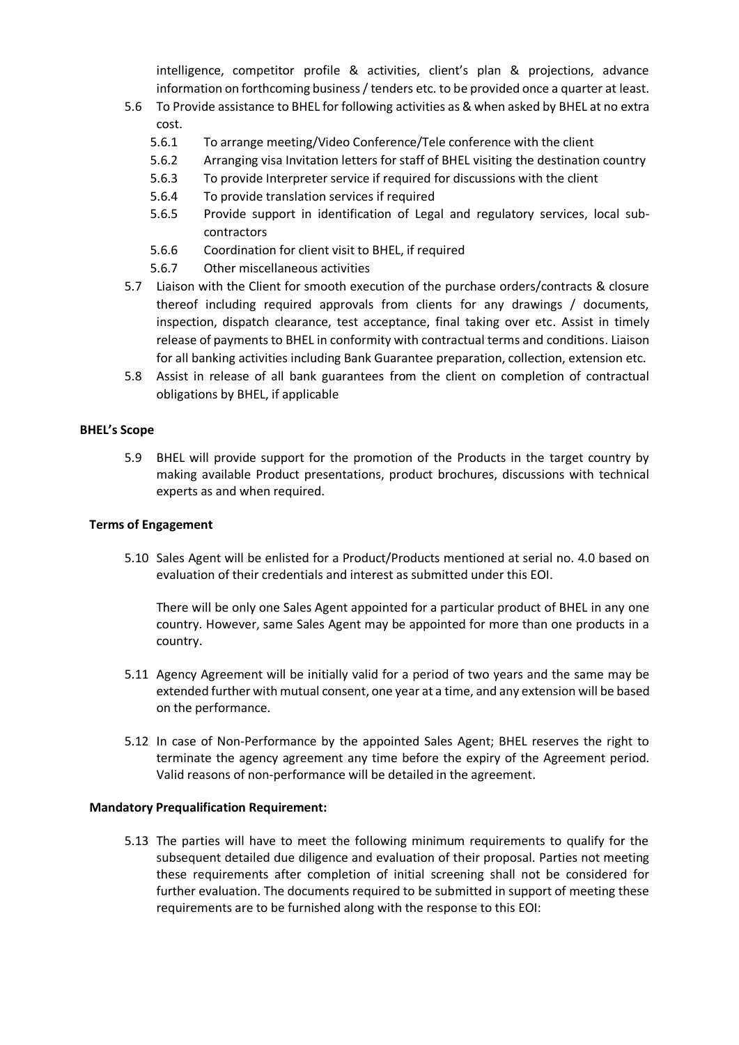intelligence, competitor profile & activities, client's plan & projections, advance information on forthcoming business / tenders etc. to be provided once a quarter at least.

- 5.6 To Provide assistance to BHEL for following activities as & when asked by BHEL at no extra cost.
	- 5.6.1 To arrange meeting/Video Conference/Tele conference with the client
	- 5.6.2 Arranging visa Invitation letters for staff of BHEL visiting the destination country
	- 5.6.3 To provide Interpreter service if required for discussions with the client
	- 5.6.4 To provide translation services if required
	- 5.6.5 Provide support in identification of Legal and regulatory services, local subcontractors
	- 5.6.6 Coordination for client visit to BHEL, if required
	- 5.6.7 Other miscellaneous activities
- 5.7 Liaison with the Client for smooth execution of the purchase orders/contracts & closure thereof including required approvals from clients for any drawings / documents, inspection, dispatch clearance, test acceptance, final taking over etc. Assist in timely release of payments to BHEL in conformity with contractual terms and conditions. Liaison for all banking activities including Bank Guarantee preparation, collection, extension etc.
- 5.8 Assist in release of all bank guarantees from the client on completion of contractual obligations by BHEL, if applicable

#### **BHEL's Scope**

5.9 BHEL will provide support for the promotion of the Products in the target country by making available Product presentations, product brochures, discussions with technical experts as and when required.

#### **Terms of Engagement**

5.10 Sales Agent will be enlisted for a Product/Products mentioned at serial no. 4.0 based on evaluation of their credentials and interest as submitted under this EOI.

There will be only one Sales Agent appointed for a particular product of BHEL in any one country. However, same Sales Agent may be appointed for more than one products in a country.

- 5.11 Agency Agreement will be initially valid for a period of two years and the same may be extended further with mutual consent, one year at a time, and any extension will be based on the performance.
- 5.12 In case of Non-Performance by the appointed Sales Agent; BHEL reserves the right to terminate the agency agreement any time before the expiry of the Agreement period. Valid reasons of non-performance will be detailed in the agreement.

#### **Mandatory Prequalification Requirement:**

5.13 The parties will have to meet the following minimum requirements to qualify for the subsequent detailed due diligence and evaluation of their proposal. Parties not meeting these requirements after completion of initial screening shall not be considered for further evaluation. The documents required to be submitted in support of meeting these requirements are to be furnished along with the response to this EOI: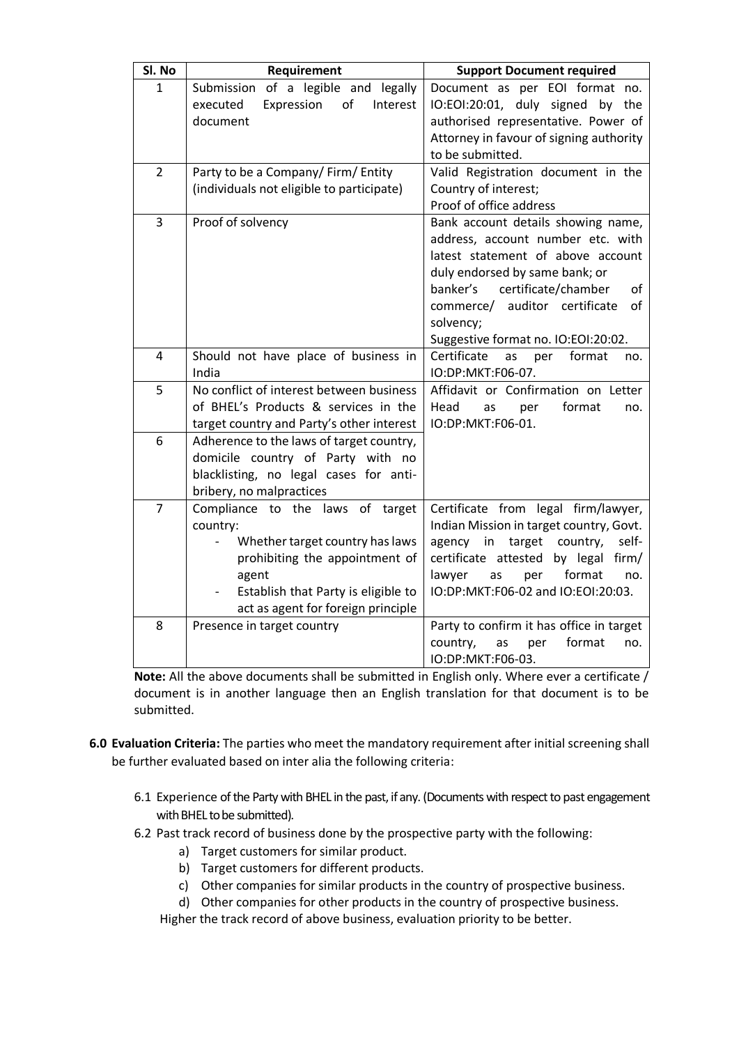| Sl. No         | Requirement                                                                                                                                                                                                                         | <b>Support Document required</b>                                                                                                                                                                                                                                                      |
|----------------|-------------------------------------------------------------------------------------------------------------------------------------------------------------------------------------------------------------------------------------|---------------------------------------------------------------------------------------------------------------------------------------------------------------------------------------------------------------------------------------------------------------------------------------|
| 1              | of a legible and<br>Submission<br>legally<br>Expression<br>of<br>Interest<br>executed<br>document                                                                                                                                   | Document as per EOI format no.<br>IO:EOI:20:01, duly signed by the<br>authorised representative. Power of<br>Attorney in favour of signing authority                                                                                                                                  |
| $\overline{2}$ | Party to be a Company/Firm/Entity<br>(individuals not eligible to participate)                                                                                                                                                      | to be submitted.<br>Valid Registration document in the<br>Country of interest;<br>Proof of office address                                                                                                                                                                             |
| 3              | Proof of solvency                                                                                                                                                                                                                   | Bank account details showing name,<br>address, account number etc. with<br>latest statement of above account<br>duly endorsed by same bank; or<br>banker's<br>certificate/chamber<br>of<br>auditor certificate<br>commerce/<br>οf<br>solvency;<br>Suggestive format no. IO:EOI:20:02. |
| 4              | Should not have place of business in<br>India                                                                                                                                                                                       | Certificate<br>format<br>as<br>per<br>no.<br>IO:DP:MKT:F06-07.                                                                                                                                                                                                                        |
| 5              | No conflict of interest between business<br>of BHEL's Products & services in the<br>target country and Party's other interest                                                                                                       | Affidavit or Confirmation on Letter<br>Head<br>format<br>as<br>per<br>no.<br>IO:DP:MKT:F06-01.                                                                                                                                                                                        |
| 6              | Adherence to the laws of target country,<br>domicile country of Party with no<br>blacklisting, no legal cases for anti-<br>bribery, no malpractices                                                                                 |                                                                                                                                                                                                                                                                                       |
| $\overline{7}$ | Compliance to the laws of target<br>country:<br>Whether target country has laws<br>$\overline{\phantom{0}}$<br>prohibiting the appointment of<br>agent<br>Establish that Party is eligible to<br>act as agent for foreign principle | Certificate from legal firm/lawyer,<br>Indian Mission in target country, Govt.<br>agency<br>in<br>target<br>country,<br>self-<br>certificate attested<br>by legal<br>firm/<br>lawyer<br>format<br>as<br>per<br>no.<br>IO:DP:MKT:F06-02 and IO:EOI:20:03.                              |
| 8              | Presence in target country                                                                                                                                                                                                          | Party to confirm it has office in target<br>format<br>country,<br>as<br>per<br>no.<br>IO:DP:MKT:F06-03.                                                                                                                                                                               |

**Note:** All the above documents shall be submitted in English only. Where ever a certificate / document is in another language then an English translation for that document is to be submitted.

- **6.0 Evaluation Criteria:** The parties who meet the mandatory requirement after initial screening shall be further evaluated based on inter alia the following criteria:
	- 6.1 Experience of the Party with BHEL in the past, if any. (Documents with respect to past engagement with BHEL to be submitted).
	- 6.2 Past track record of business done by the prospective party with the following:
		- a) Target customers for similar product.
		- b) Target customers for different products.
		- c) Other companies for similar products in the country of prospective business.
		- d) Other companies for other products in the country of prospective business.

Higher the track record of above business, evaluation priority to be better.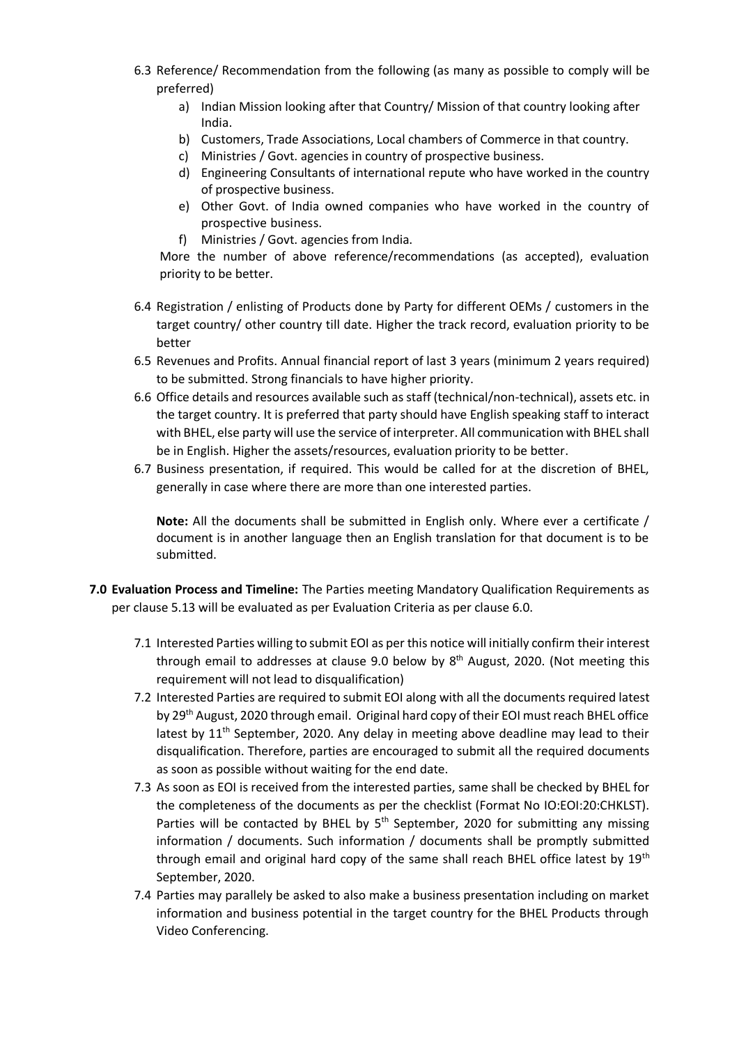- 6.3 Reference/ Recommendation from the following (as many as possible to comply will be preferred)
	- a) Indian Mission looking after that Country/ Mission of that country looking after India.
	- b) Customers, Trade Associations, Local chambers of Commerce in that country.
	- c) Ministries / Govt. agencies in country of prospective business.
	- d) Engineering Consultants of international repute who have worked in the country of prospective business.
	- e) Other Govt. of India owned companies who have worked in the country of prospective business.
	- f) Ministries / Govt. agencies from India.

More the number of above reference/recommendations (as accepted), evaluation priority to be better.

- 6.4 Registration / enlisting of Products done by Party for different OEMs / customers in the target country/ other country till date. Higher the track record, evaluation priority to be better
- 6.5 Revenues and Profits. Annual financial report of last 3 years (minimum 2 years required) to be submitted. Strong financials to have higher priority.
- 6.6 Office details and resources available such as staff (technical/non-technical), assets etc. in the target country. It is preferred that party should have English speaking staff to interact with BHEL, else party will use the service of interpreter. All communication with BHEL shall be in English. Higher the assets/resources, evaluation priority to be better.
- 6.7 Business presentation, if required. This would be called for at the discretion of BHEL, generally in case where there are more than one interested parties.

**Note:** All the documents shall be submitted in English only. Where ever a certificate / document is in another language then an English translation for that document is to be submitted.

- **7.0 Evaluation Process and Timeline:** The Parties meeting Mandatory Qualification Requirements as per clause 5.13 will be evaluated as per Evaluation Criteria as per clause 6.0.
	- 7.1 Interested Parties willing to submit EOI as per this notice will initially confirm their interest through email to addresses at clause 9.0 below by  $8<sup>th</sup>$  August, 2020. (Not meeting this requirement will not lead to disqualification)
	- 7.2 Interested Parties are required to submit EOI along with all the documents required latest by 29th August, 2020 through email. Original hard copy of their EOI must reach BHEL office latest by  $11<sup>th</sup>$  September, 2020. Any delay in meeting above deadline may lead to their disqualification. Therefore, parties are encouraged to submit all the required documents as soon as possible without waiting for the end date.
	- 7.3 As soon as EOI is received from the interested parties, same shall be checked by BHEL for the completeness of the documents as per the checklist (Format No IO:EOI:20:CHKLST). Parties will be contacted by BHEL by  $5<sup>th</sup>$  September, 2020 for submitting any missing information / documents. Such information / documents shall be promptly submitted through email and original hard copy of the same shall reach BHEL office latest by 19<sup>th</sup> September, 2020.
	- 7.4 Parties may parallely be asked to also make a business presentation including on market information and business potential in the target country for the BHEL Products through Video Conferencing.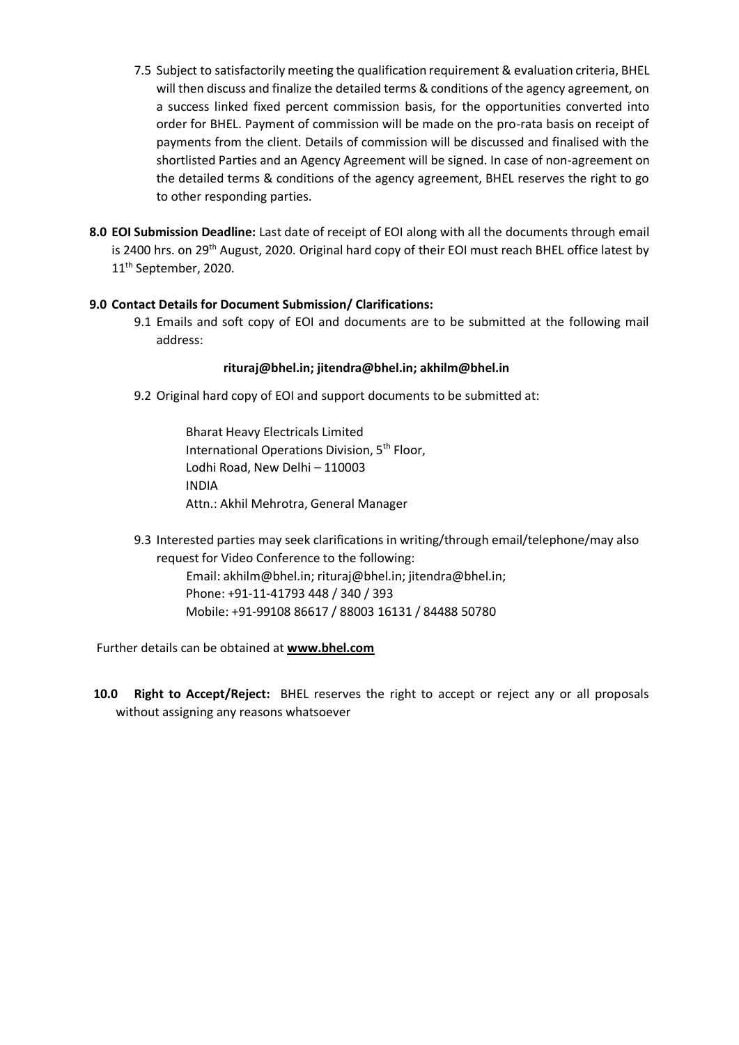- 7.5 Subject to satisfactorily meeting the qualification requirement & evaluation criteria, BHEL will then discuss and finalize the detailed terms & conditions of the agency agreement, on a success linked fixed percent commission basis, for the opportunities converted into order for BHEL. Payment of commission will be made on the pro-rata basis on receipt of payments from the client. Details of commission will be discussed and finalised with the shortlisted Parties and an Agency Agreement will be signed. In case of non-agreement on the detailed terms & conditions of the agency agreement, BHEL reserves the right to go to other responding parties.
- **8.0 EOI Submission Deadline:** Last date of receipt of EOI along with all the documents through email is 2400 hrs. on 29<sup>th</sup> August, 2020. Original hard copy of their EOI must reach BHEL office latest by 11<sup>th</sup> September, 2020.

#### **9.0 Contact Details for Document Submission/ Clarifications:**

9.1 Emails and soft copy of EOI and documents are to be submitted at the following mail address:

#### **rituraj@bhel.in; jitendra@bhel.in; akhilm@bhel.in**

9.2 Original hard copy of EOI and support documents to be submitted at:

Bharat Heavy Electricals Limited International Operations Division, 5<sup>th</sup> Floor, Lodhi Road, New Delhi – 110003 INDIA Attn.: Akhil Mehrotra, General Manager

9.3 Interested parties may seek clarifications in writing/through email/telephone/may also request for Video Conference to the following:

Email: akhilm@bhel.in; rituraj@bhel.in; jitendra@bhel.in; Phone: +91-11-41793 448 / 340 / 393 Mobile: +91-99108 86617 / 88003 16131 / 84488 50780

Further details can be obtained at **www.bhel.com**

**10.0 Right to Accept/Reject:** BHEL reserves the right to accept or reject any or all proposals without assigning any reasons whatsoever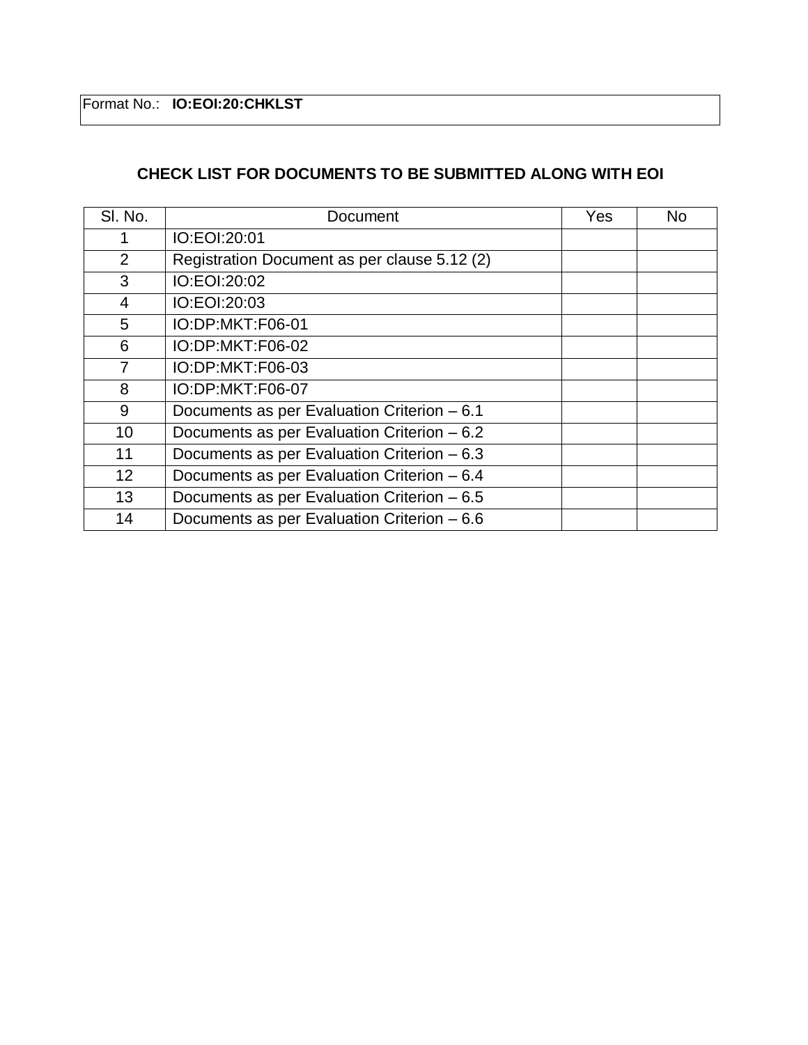Format No.: **IO:EOI:20:CHKLST**

# **CHECK LIST FOR DOCUMENTS TO BE SUBMITTED ALONG WITH EOI**

| SI. No. | Document                                     | Yes | No |
|---------|----------------------------------------------|-----|----|
|         | IO:EOI:20:01                                 |     |    |
| 2       | Registration Document as per clause 5.12 (2) |     |    |
| 3       | IO:EOI:20:02                                 |     |    |
| 4       | IO:EOI:20:03                                 |     |    |
| 5       | IO:DP:MKT:F06-01                             |     |    |
| 6       | IO:DP:MKT:F06-02                             |     |    |
| 7       | IO:DP:MKT:F06-03                             |     |    |
| 8       | IO:DP:MKT:F06-07                             |     |    |
| 9       | Documents as per Evaluation Criterion - 6.1  |     |    |
| 10      | Documents as per Evaluation Criterion - 6.2  |     |    |
| 11      | Documents as per Evaluation Criterion - 6.3  |     |    |
| 12      | Documents as per Evaluation Criterion - 6.4  |     |    |
| 13      | Documents as per Evaluation Criterion - 6.5  |     |    |
| 14      | Documents as per Evaluation Criterion - 6.6  |     |    |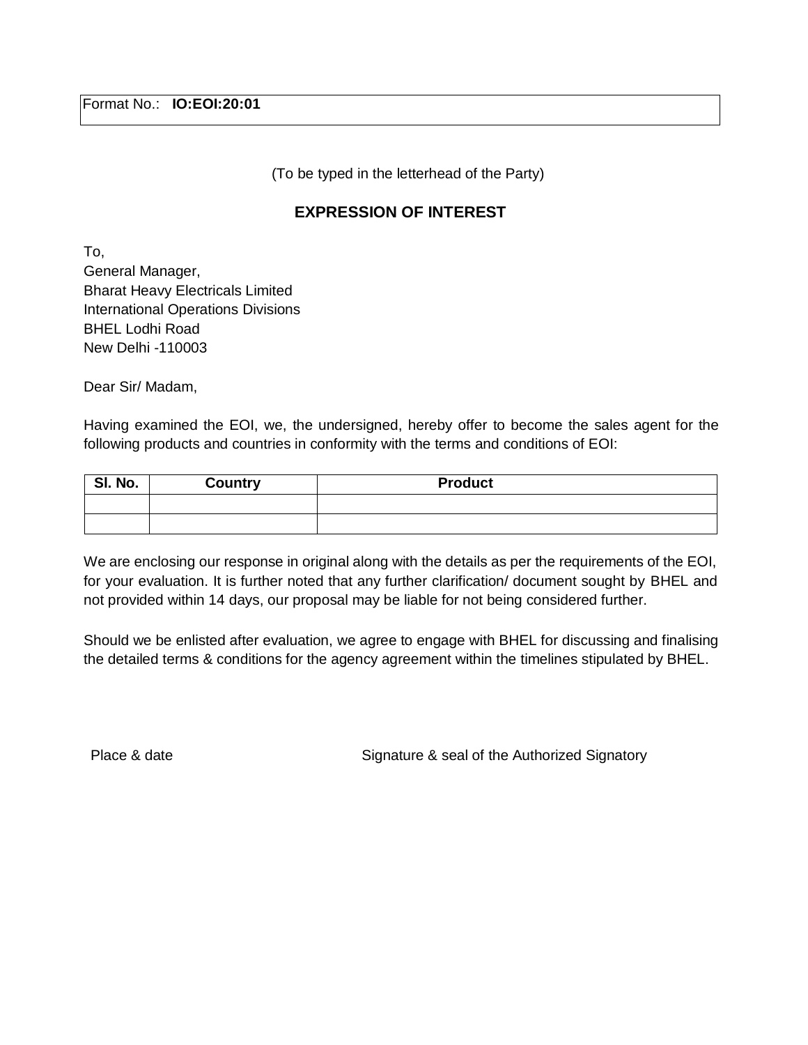(To be typed in the letterhead of the Party)

## **EXPRESSION OF INTEREST**

To, General Manager, Bharat Heavy Electricals Limited International Operations Divisions BHEL Lodhi Road New Delhi -110003

Dear Sir/ Madam,

Having examined the EOI, we, the undersigned, hereby offer to become the sales agent for the following products and countries in conformity with the terms and conditions of EOI:

| SI. No. | <b>Country</b> | <b>Product</b> |
|---------|----------------|----------------|
|         |                |                |
|         |                |                |

We are enclosing our response in original along with the details as per the requirements of the EOI, for your evaluation. It is further noted that any further clarification/ document sought by BHEL and not provided within 14 days, our proposal may be liable for not being considered further.

Should we be enlisted after evaluation, we agree to engage with BHEL for discussing and finalising the detailed terms & conditions for the agency agreement within the timelines stipulated by BHEL.

Place & date Signature & seal of the Authorized Signatory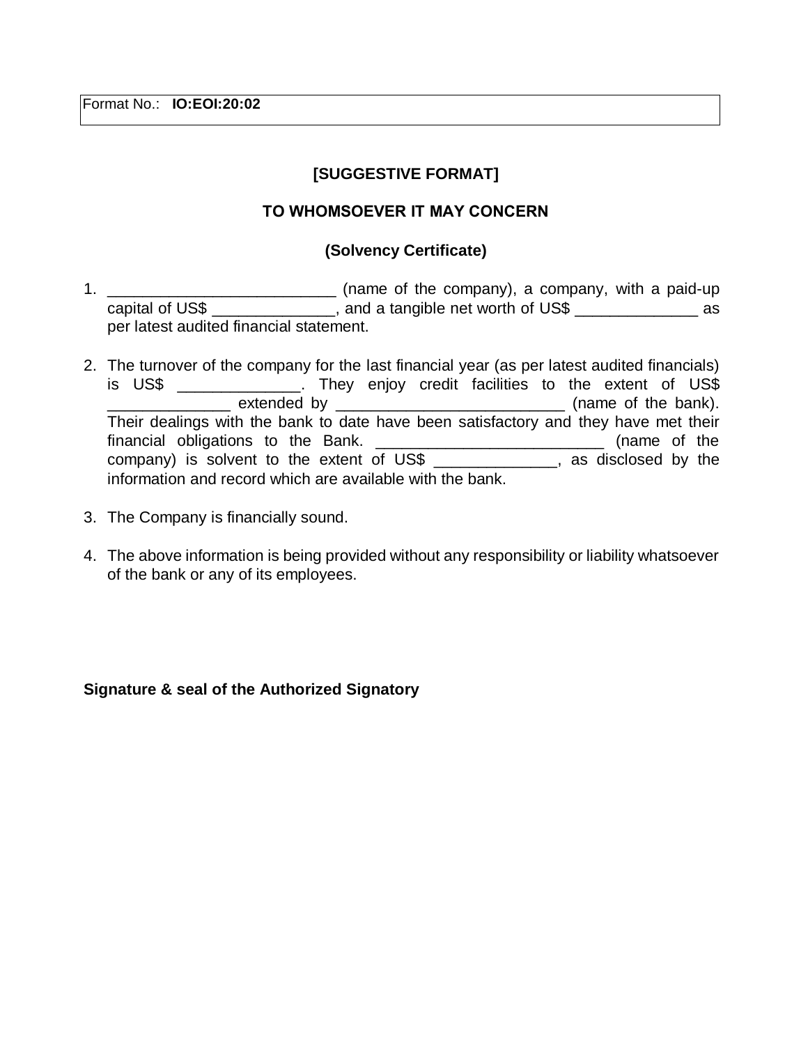Format No.: **IO:EOI:20:02**

# **[SUGGESTIVE FORMAT]**

### **ТО WHOMSOEVER IT MAY CONCERN**

### **(Solvency Certificate)**

- 1. \_\_\_\_\_\_\_\_\_\_\_\_\_\_\_\_\_\_\_\_\_\_\_\_\_\_ (name of the company), a company, with a paid-up capital of US\$  $\frac{1}{2}$  and a tangible net worth of US\$  $\frac{1}{2}$  as per latest audited financial statement.
- 2. The turnover of the company for the last financial year (as per latest audited financials) is US\$ \_\_\_\_\_\_\_\_\_\_\_\_\_\_. They enjoy credit facilities to the extent of US\$ \_\_\_\_\_\_\_\_\_\_\_\_\_\_ extended by \_\_\_\_\_\_\_\_\_\_\_\_\_\_\_\_\_\_\_\_\_\_\_\_\_\_ (name of the bank). Their dealings with the bank to date have been satisfactory and they have met their financial obligations to the Bank. \_\_\_\_\_\_\_\_\_\_\_\_\_\_\_\_\_\_\_\_\_\_\_\_\_\_\_\_\_\_\_\_ (name of the company) is solvent to the extent of US\$ \_\_\_\_\_\_\_\_\_\_\_\_\_\_, as disclosed by the information and record which are available with the bank.
- 3. The Company is financially sound.
- 4. The above information is being provided without any responsibility or liability whatsoever of the bank or any of its employees.

### **Signature & seal of the Authorized Signatory**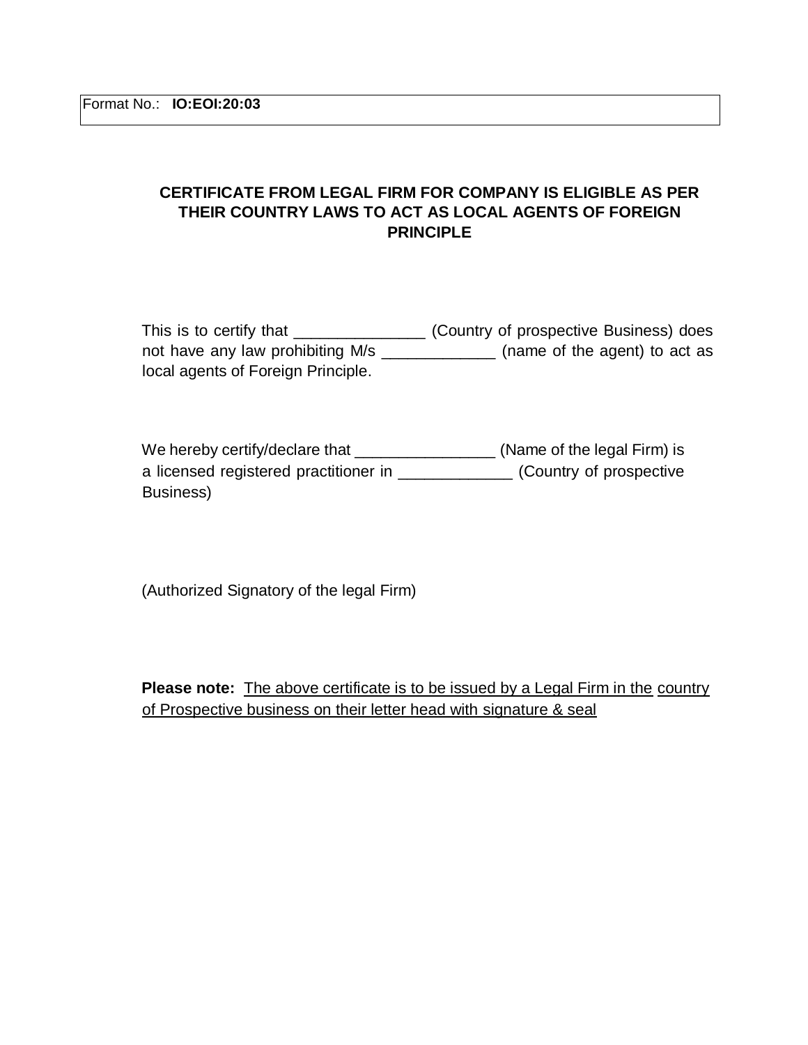### **CERTIFICATE FROM LEGAL FIRM FOR COMPANY IS ELIGIBLE AS PER THEIR COUNTRY LAWS TO ACT AS LOCAL AGENTS OF FOREIGN PRINCIPLE**

| This is to certify that            | (Country of prospective Business) does |
|------------------------------------|----------------------------------------|
| not have any law prohibiting M/s   | (name of the agent) to act as          |
| local agents of Foreign Principle. |                                        |

We hereby certify/declare that \_\_\_\_\_\_\_\_\_\_\_\_\_\_\_\_\_\_\_\_(Name of the legal Firm) is a licensed registered practitioner in \_\_\_\_\_\_\_\_\_\_\_\_\_ (Country of prospective Business)

(Authorized Signatory of the legal Firm)

**Please note:** The above certificate is to be issued by a Legal Firm in the country of Prospective business on their letter head with signature & seal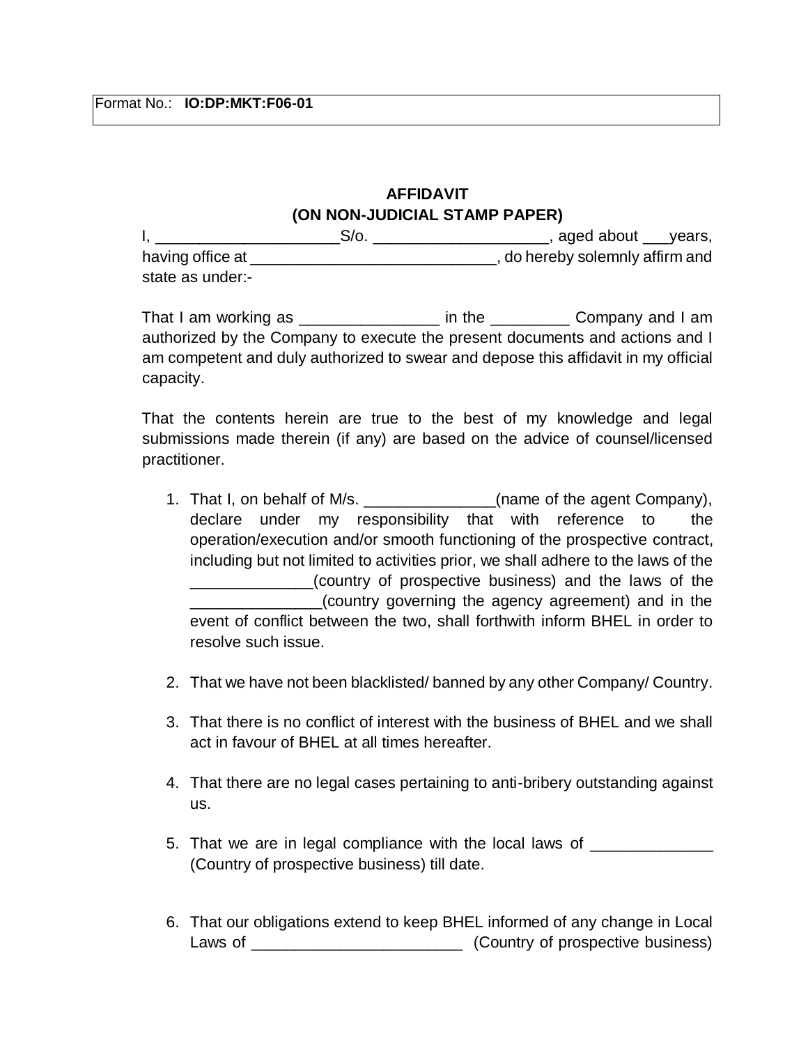# **AFFIDAVIT (ON NON-JUDICIAL STAMP PAPER)**

I, \_\_\_\_\_\_\_\_\_\_\_\_\_\_\_\_\_\_\_\_\_\_\_\_\_\_\_\_\_\_\_\_S/o. \_\_\_\_\_\_\_\_\_\_\_\_\_\_\_\_\_\_\_\_\_\_\_\_\_\_\_\_\_, aged about \_\_\_\_years, having office at  $\qquad \qquad$   $\qquad \qquad$  , do hereby solemnly affirm and state as under:-

That I am working as \_\_\_\_\_\_\_\_\_\_\_\_\_\_\_\_\_\_\_\_\_ in the \_\_\_\_\_\_\_\_\_\_\_\_ Company and I am authorized by the Company to execute the present documents and actions and I am competent and duly authorized to swear and depose this affidavit in my official capacity.

That the contents herein are true to the best of my knowledge and legal submissions made therein (if any) are based on the advice of counsel/licensed practitioner.

- 1. That I, on behalf of M/s. \_\_\_\_\_\_\_\_\_\_\_\_\_\_(name of the agent Company), declare under my responsibility that with reference to the operation/execution and/or smooth functioning of the prospective contract, including but not limited to activities prior, we shall adhere to the laws of the \_\_\_\_\_\_\_\_\_\_\_\_\_\_(country of prospective business) and the laws of the \_\_\_\_\_\_\_\_\_\_\_\_\_\_\_(country governing the agency agreement) and in the event of conflict between the two, shall forthwith inform BHEL in order to resolve such issue.
- 2. That we have not been blacklisted/ banned by any other Company/ Country.
- 3. That there is no conflict of interest with the business of BHEL and we shall act in favour of BHEL at all times hereafter.
- 4. That there are no legal cases pertaining to anti-bribery outstanding against us.
- 5. That we are in legal compliance with the local laws of (Country of prospective business) till date.
- 6. That our obligations extend to keep BHEL informed of any change in Local Laws of \_\_\_\_\_\_\_\_\_\_\_\_\_\_\_\_\_\_\_\_\_\_\_\_ (Country of prospective business)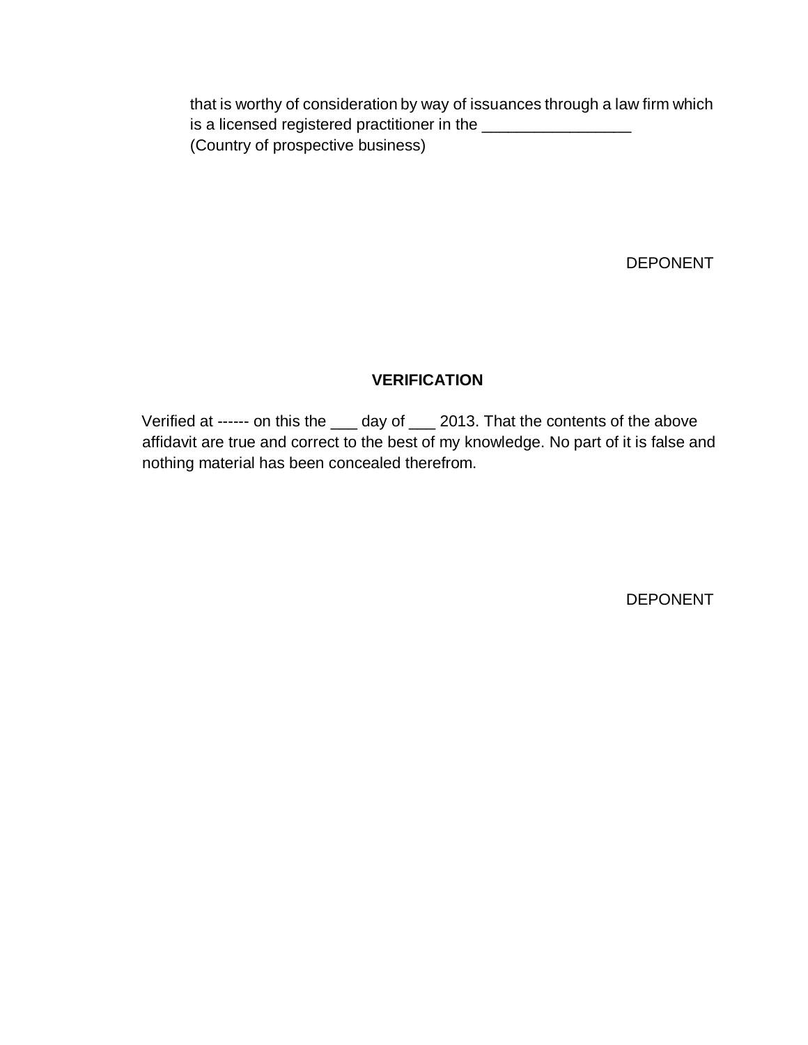that is worthy of consideration by way of issuances through a law firm which is a licensed registered practitioner in the \_\_\_\_\_\_\_\_\_\_\_\_\_\_\_\_\_ (Country of prospective business)

DEPONENT

# **VERIFICATION**

Verified at ------ on this the \_\_\_ day of \_\_\_ 2013. That the contents of the above affidavit are true and correct to the best of my knowledge. No part of it is false and nothing material has been concealed therefrom.

DEPONENT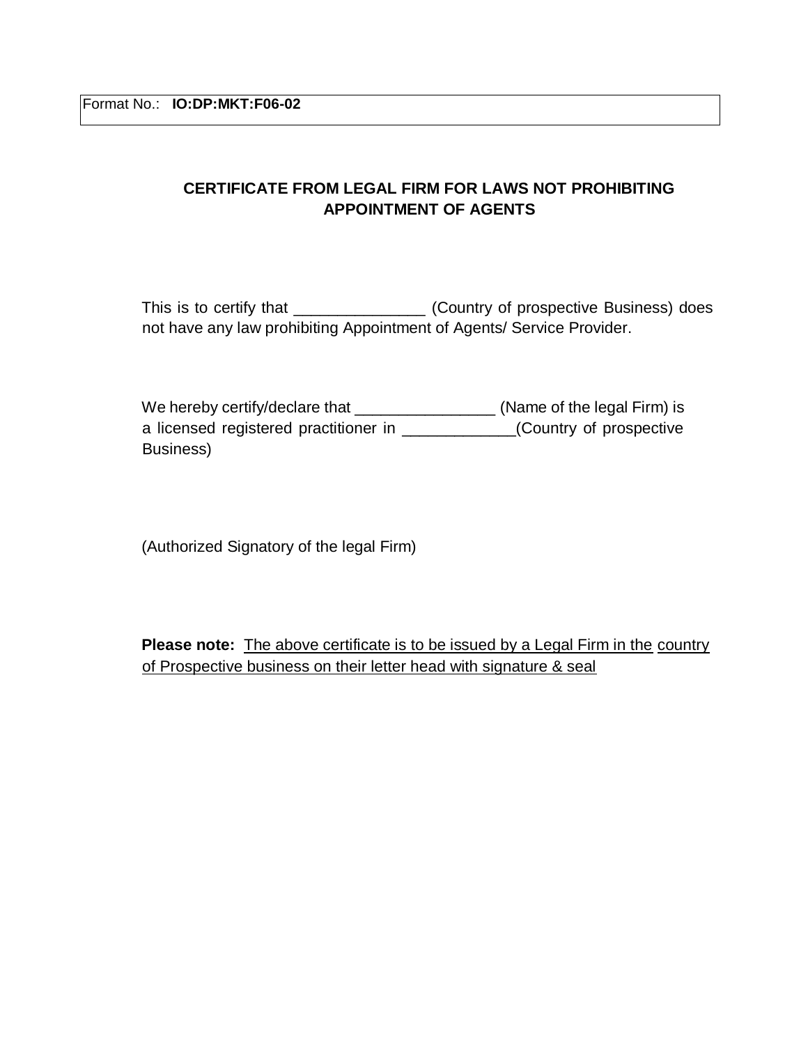# **CERTIFICATE FROM LEGAL FIRM FOR LAWS NOT PROHIBITING APPOINTMENT OF AGENTS**

This is to certify that \_\_\_\_\_\_\_\_\_\_\_\_\_\_\_\_\_ (Country of prospective Business) does not have any law prohibiting Appointment of Agents/ Service Provider.

We hereby certify/declare that \_\_\_\_\_\_\_\_\_\_\_\_\_\_\_\_\_\_\_\_ (Name of the legal Firm) is a licensed registered practitioner in \_\_\_\_\_\_\_\_\_\_\_\_\_(Country of prospective Business)

(Authorized Signatory of the legal Firm)

**Please note:** The above certificate is to be issued by a Legal Firm in the country of Prospective business on their letter head with signature & seal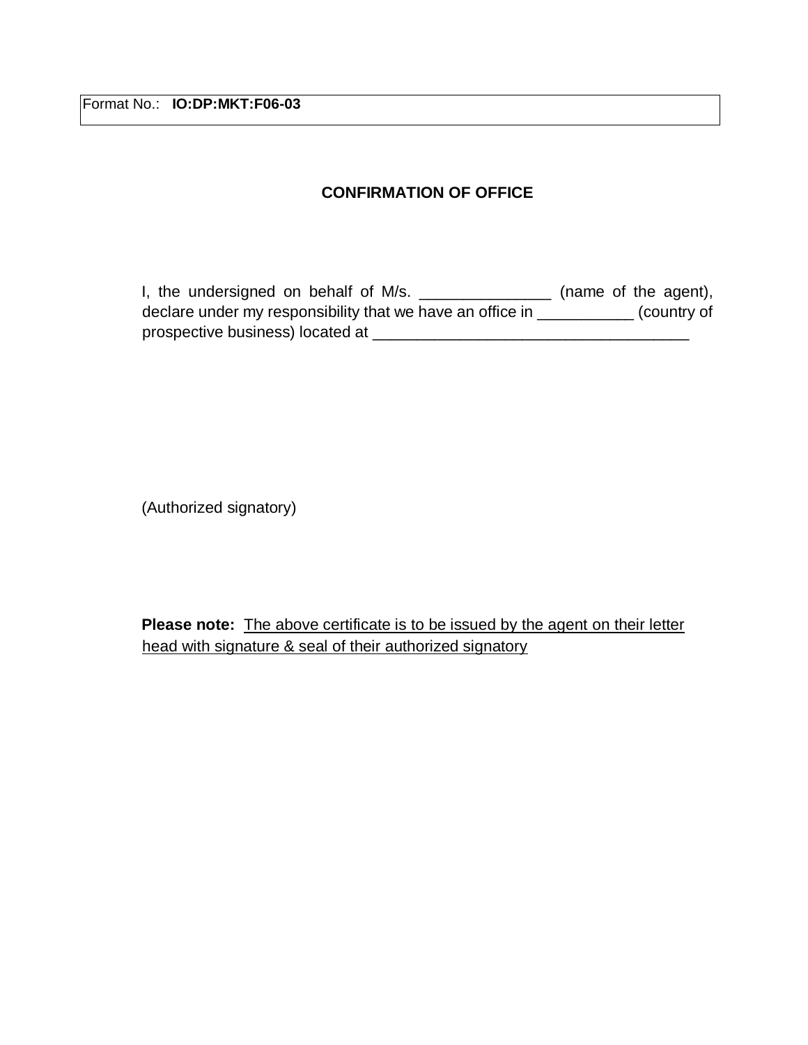Format No.: **IO:DP:MKT:F06-03** 

# **CONFIRMATION OF OFFICE**

I, the undersigned on behalf of M/s. \_\_\_\_\_\_\_\_\_\_\_\_\_\_\_\_ (name of the agent), declare under my responsibility that we have an office in \_\_\_\_\_\_\_\_\_\_\_ (country of prospective business) located at \_\_\_\_\_\_\_\_\_\_\_\_\_\_\_\_\_\_\_\_\_\_\_\_\_\_\_\_\_\_\_\_\_\_\_\_

(Authorized signatory)

**Please note:** The above certificate is to be issued by the agent on their letter head with signature & seal of their authorized signatory